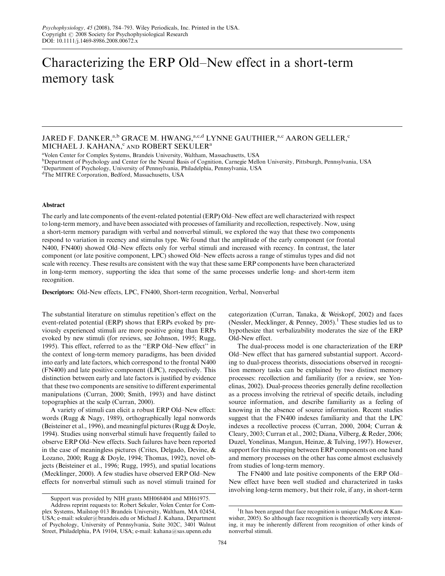# Characterizing the ERP Old–New effect in a short-term memory task

# JARED F. DANKER, $^{\mathrm{a,b}}$  GRACE M. HWANG, $^{\mathrm{a,c,d}}$  LYNNE GAUTHIER, $^{\mathrm{a,c}}$  AARON GELLER, $^{\mathrm{c}}$ MICHAEL J. KAHANA,<sup>c</sup> and ROBERT SEKULER<sup>a</sup>

a Volen Center for Complex Systems, Brandeis University, Waltham, Massachusetts, USA

b Department of Psychology and Center for the Neural Basis of Cognition, Carnegie Mellon University, Pittsburgh, Pennsylvania, USA

c Department of Psychology, University of Pennsylvania, Philadelphia, Pennsylvania, USA

d The MITRE Corporation, Bedford, Massachusetts, USA

## Abstract

The early and late components of the event-related potential (ERP) Old–New effect are well characterized with respect to long-term memory, and have been associated with processes of familiarity and recollection, respectively. Now, using a short-term memory paradigm with verbal and nonverbal stimuli, we explored the way that these two components respond to variation in recency and stimulus type. We found that the amplitude of the early component (or frontal N400, FN400) showed Old–New effects only for verbal stimuli and increased with recency. In contrast, the later component (or late positive component, LPC) showed Old–New effects across a range of stimulus types and did not scale with recency. These results are consistent with the way that these same ERP components have been characterized in long-term memory, supporting the idea that some of the same processes underlie long- and short-term item recognition.

Descriptors: Old-New effects, LPC, FN400, Short-term recognition, Verbal, Nonverbal

The substantial literature on stimulus repetition's effect on the event-related potential (ERP) shows that ERPs evoked by previously experienced stimuli are more positive going than ERPs evoked by new stimuli (for reviews, see Johnson, 1995; Rugg, 1995). This effect, referred to as the ''ERP Old–New effect'' in the context of long-term memory paradigms, has been divided into early and late factors, which correspond to the frontal N400 (FN400) and late positive component (LPC), respectively. This distinction between early and late factors is justified by evidence that these two components are sensitive to different experimental manipulations (Curran, 2000; Smith, 1993) and have distinct topographies at the scalp (Curran, 2000).

A variety of stimuli can elicit a robust ERP Old–New effect: words (Rugg & Nagy, 1989), orthographically legal nonwords (Beisteiner et al., 1996), and meaningful pictures (Rugg & Doyle, 1994). Studies using nonverbal stimuli have frequently failed to observe ERP Old–New effects. Such failures have been reported in the case of meaningless pictures (Crites, Delgado, Devine, & Lozano, 2000; Rugg & Doyle, 1994; Thomas, 1992), novel objects (Beisteiner et al., 1996; Rugg, 1995), and spatial locations (Mecklinger, 2000). A few studies have observed ERP Old–New effects for nonverbal stimuli such as novel stimuli trained for categorization (Curran, Tanaka, & Weiskopf, 2002) and faces (Nessler, Mecklinger,  $\&$  Penney, 2005).<sup>1</sup> These studies led us to hypothesize that verbalizability moderates the size of the ERP Old-New effect.

The dual-process model is one characterization of the ERP Old–New effect that has garnered substantial support. According to dual-process theorists, dissociations observed in recognition memory tasks can be explained by two distinct memory processes: recollection and familiarity (for a review, see Yonelinas, 2002). Dual-process theories generally define recollection as a process involving the retrieval of specific details, including source information, and describe familiarity as a feeling of knowing in the absence of source information. Recent studies suggest that the FN400 indexes familiarity and that the LPC indexes a recollective process (Curran, 2000, 2004; Curran & Cleary, 2003; Curran et al., 2002; Diana, Vilberg, & Reder, 2006; Duzel, Yonelinas, Mangun, Heinze, & Tulving, 1997). However, support for this mapping between ERP components on one hand and memory processes on the other has come almost exclusively from studies of long-term memory.

The FN400 and late positive components of the ERP Old– New effect have been well studied and characterized in tasks involving long-term memory, but their role, if any, in short-term

Support was provided by NIH grants MH068404 and MH61975.

Address reprint requests to: Robert Sekuler, Volen Center for Complex Systems, Mailstop 013 Brandeis University, Waltham, MA 02454, USA; e-mail: sekuler@brandeis.edu or Michael J. Kahana, Department of Psychology, University of Pennsylvania, Suite 302C, 3401 Walnut Street, Philadelphia, PA 19104, USA; e-mail: kahana@sas.upenn.edu

<sup>&</sup>lt;sup>1</sup>It has been argued that face recognition is unique (McKone & Kanwisher, 2005). So although face recognition is theoretically very interesting, it may be inherently different from recognition of other kinds of nonverbal stimuli.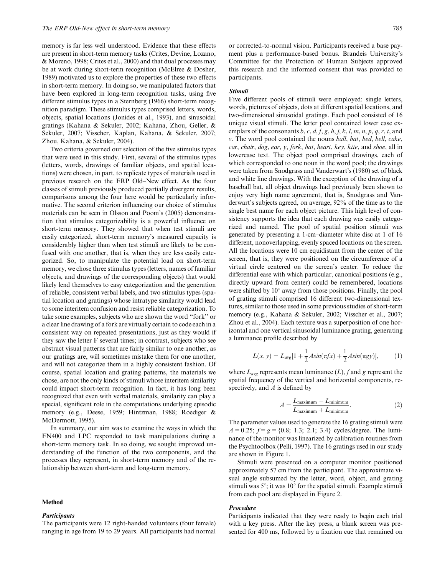memory is far less well understood. Evidence that these effects are present in short-term memory tasks (Crites, Devine, Lozano, & Moreno, 1998; Crites et al., 2000) and that dual processes may be at work during short-term recognition (McElree & Dosher, 1989) motivated us to explore the properties of these two effects in short-term memory. In doing so, we manipulated factors that have been explored in long-term recognition tasks, using five different stimulus types in a Sternberg (1966) short-term recognition paradigm. These stimulus types comprised letters, words, objects, spatial locations (Jonides et al., 1993), and sinusoidal gratings (Kahana & Sekuler, 2002; Kahana, Zhou, Geller, & Sekuler, 2007; Visscher, Kaplan, Kahana, & Sekuler, 2007; Zhou, Kahana, & Sekuler, 2004).

Two criteria governed our selection of the five stimulus types that were used in this study. First, several of the stimulus types (letters, words, drawings of familiar objects, and spatial locations) were chosen, in part, to replicate types of materials used in previous research on the ERP Old–New effect. As the four classes of stimuli previously produced partially divergent results, comparisons among the four here would be particularly informative. The second criterion influencing our choice of stimulus materials can be seen in Olsson and Poom's (2005) demonstration that stimulus categorizability is a powerful influence on short-term memory. They showed that when test stimuli are easily categorized, short-term memory's measured capacity is considerably higher than when test stimuli are likely to be confused with one another, that is, when they are less easily categorized. So, to manipulate the potential load on short-term memory, we chose three stimulus types (letters, names of familiar objects, and drawings of the corresponding objects) that would likely lend themselves to easy categorization and the generation of reliable, consistent verbal labels, and two stimulus types (spatial location and gratings) whose intratype similarity would lead to some interitem confusion and resist reliable categorization. To take some examples, subjects who are shown the word ''fork'' or a clear line drawing of a fork are virtually certain to code each in a consistent way on repeated presentations, just as they would if they saw the letter F several times; in contrast, subjects who see abstract visual patterns that are fairly similar to one another, as our gratings are, will sometimes mistake them for one another, and will not categorize them in a highly consistent fashion. Of course, spatial location and grating patterns, the materials we chose, are not the only kinds of stimuli whose interitem similarity could impact short-term recognition. In fact, it has long been recognized that even with verbal materials, similarity can play a special, significant role in the computations underlying episodic memory (e.g., Deese, 1959; Hintzman, 1988; Roediger & McDermott, 1995).

In summary, our aim was to examine the ways in which the FN400 and LPC responded to task manipulations during a short-term memory task. In so doing, we sought improved understanding of the function of the two components, and the processes they represent, in short-term memory and of the relationship between short-term and long-term memory.

#### Method

## **Participants**

The participants were 12 right-handed volunteers (four female) ranging in age from 19 to 29 years. All participants had normal or corrected-to-normal vision. Participants received a base payment plus a performance-based bonus. Brandeis University's Committee for the Protection of Human Subjects approved this research and the informed consent that was provided to participants.

## Stimuli

Five different pools of stimuli were employed: single letters, words, pictures of objects, dots at different spatial locations, and two-dimensional sinusoidal gratings. Each pool consisted of 16 unique visual stimuli. The letter pool contained lower case exemplars of the consonants  $b, c, d, f, g, h, j, k, l, m, n, p, q, r, t$ , and v. The word pool contained the nouns ball, bat, bed, bell, cake, car, chair, dog, ear, y, fork, hat, heart, key, kite, and shoe, all in lowercase text. The object pool comprised drawings, each of which corresponded to one noun in the word pool; the drawings were taken from Snodgrass and Vanderwart's (1980) set of black and white line drawings. With the exception of the drawing of a baseball bat, all object drawings had previously been shown to enjoy very high name agreement, that is, Snodgrass and Vanderwart's subjects agreed, on average, 92% of the time as to the single best name for each object picture. This high level of consistency supports the idea that each drawing was easily categorized and named. The pool of spatial position stimuli was generated by presenting a 1-cm–diameter white disc at 1 of 16 different, nonoverlapping, evenly spaced locations on the screen. All the locations were 10 cm equidistant from the center of the screen, that is, they were positioned on the circumference of a virtual circle centered on the screen's center. To reduce the differential ease with which particular, canonical positions (e.g., directly upward from center) could be remembered, locations were shifted by  $10^{\circ}$  away from those positions. Finally, the pool of grating stimuli comprised 16 different two-dimensional textures, similar to those used in some previous studies of short-term memory (e.g., Kahana & Sekuler, 2002; Visscher et al., 2007; Zhou et al., 2004). Each texture was a superposition of one horizontal and one vertical sinusoidal luminance grating, generating a luminance profile described by

$$
L(x, y) = L_{avg}[1 + \frac{1}{2}A\sin(\pi f x) + \frac{1}{2}A\sin(\pi g y)],
$$
 (1)

where  $L_{avg}$  represents mean luminance  $(L)$ ,  $f$  and  $g$  represent the spatial frequency of the vertical and horizontal components, respectively, and  $A$  is defined by

$$
A = \frac{L_{\text{maximum}} - L_{\text{minimum}}}{L_{\text{maximum}} + L_{\text{minimum}}}.
$$
 (2)

The parameter values used to generate the 16 grating stimuli were  $A = 0.25$ ;  $f = g = \{0.8; 1.3; 2.1; 3.4\}$  cycles/degree. The luminance of the monitor was linearized by calibration routines from the Psychtoolbox (Pelli, 1997). The 16 gratings used in our study are shown in Figure 1.

Stimuli were presented on a computer monitor positioned approximately 57 cm from the participant. The approximate visual angle subsumed by the letter, word, object, and grating stimuli was  $5^\circ$ ; it was  $10^\circ$  for the spatial stimuli. Example stimuli from each pool are displayed in Figure 2.

## Procedure

Participants indicated that they were ready to begin each trial with a key press. After the key press, a blank screen was presented for 400 ms, followed by a fixation cue that remained on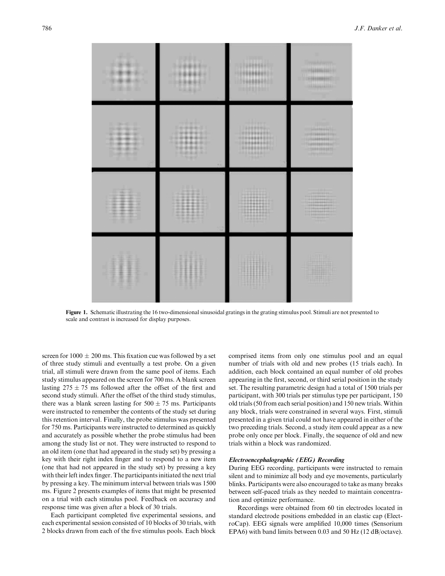

Figure 1. Schematic illustrating the 16 two-dimensional sinusoidal gratings in the grating stimulus pool. Stimuli are not presented to scale and contrast is increased for display purposes.

screen for  $1000 \pm 200$  ms. This fixation cue was followed by a set of three study stimuli and eventually a test probe. On a given trial, all stimuli were drawn from the same pool of items. Each study stimulus appeared on the screen for 700 ms. A blank screen lasting  $275 \pm 75$  ms followed after the offset of the first and second study stimuli. After the offset of the third study stimulus, there was a blank screen lasting for  $500 \pm 75$  ms. Participants were instructed to remember the contents of the study set during this retention interval. Finally, the probe stimulus was presented for 750 ms. Participants were instructed to determined as quickly and accurately as possible whether the probe stimulus had been among the study list or not. They were instructed to respond to an old item (one that had appeared in the study set) by pressing a key with their right index finger and to respond to a new item (one that had not appeared in the study set) by pressing a key with their left index finger. The participants initiated the next trial by pressing a key. The minimum interval between trials was 1500 ms. Figure 2 presents examples of items that might be presented on a trial with each stimulus pool. Feedback on accuracy and response time was given after a block of 30 trials.

Each participant completed five experimental sessions, and each experimental session consisted of 10 blocks of 30 trials, with 2 blocks drawn from each of the five stimulus pools. Each block comprised items from only one stimulus pool and an equal number of trials with old and new probes (15 trials each). In addition, each block contained an equal number of old probes appearing in the first, second, or third serial position in the study set. The resulting parametric design had a total of 1500 trials per participant, with 300 trials per stimulus type per participant, 150 old trials (50 from each serial position) and 150 new trials. Within any block, trials were constrained in several ways. First, stimuli presented in a given trial could not have appeared in either of the two preceding trials. Second, a study item could appear as a new probe only once per block. Finally, the sequence of old and new trials within a block was randomized.

## Electroencephalographic (EEG) Recording

During EEG recording, participants were instructed to remain silent and to minimize all body and eye movements, particularly blinks. Participants were also encouraged to take as many breaks between self-paced trials as they needed to maintain concentration and optimize performance.

Recordings were obtained from 60 tin electrodes located in standard electrode positions embedded in an elastic cap (ElectroCap). EEG signals were amplified 10,000 times (Sensorium EPA6) with band limits between 0.03 and 50 Hz (12 dB/octave).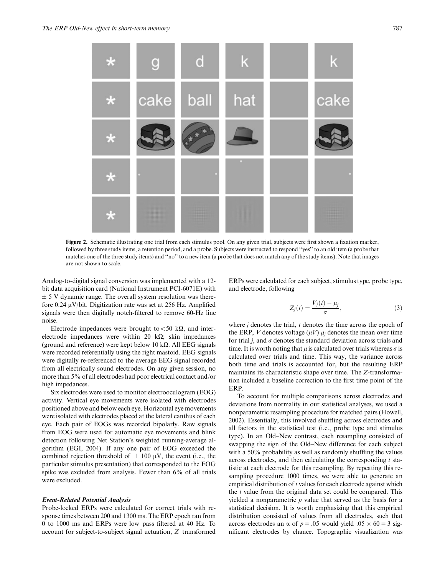

Figure 2. Schematic illustrating one trial from each stimulus pool. On any given trial, subjects were first shown a fixation marker, followed by three study items, a retention period, and a probe. Subjects were instructed to respond ''yes'' to an old item (a probe that matches one of the three study items) and ''no'' to a new item (a probe that does not match any of the study items). Note that images are not shown to scale.

Analog-to-digital signal conversion was implemented with a 12 bit data acquisition card (National Instrument PCI-6071E) with  $\pm$  5 V dynamic range. The overall system resolution was therefore  $0.24 \mu V/b$ it. Digitization rate was set at 256 Hz. Amplified signals were then digitally notch-filtered to remove 60-Hz line noise.

Electrode impedances were brought to <50 k $\Omega$ , and interelectrode impedances were within 20 k $\Omega$ ; skin impedances (ground and reference) were kept below 10 k $\Omega$ . All EEG signals were recorded referentially using the right mastoid. EEG signals were digitally re-referenced to the average EEG signal recorded from all electrically sound electrodes. On any given session, no more than 5% of all electrodes had poor electrical contact and/or high impedances.

Six electrodes were used to monitor electrooculogram (EOG) activity. Vertical eye movements were isolated with electrodes positioned above and below each eye. Horizontal eye movements were isolated with electrodes placed at the lateral canthus of each eye. Each pair of EOGs was recorded bipolarly. Raw signals from EOG were used for automatic eye movements and blink detection following Net Station's weighted running-average algorithm (EGI, 2004). If any one pair of EOG exceeded the combined rejection threshold of  $\pm 100 \mu V$ , the event (i.e., the particular stimulus presentation) that corresponded to the EOG spike was excluded from analysis. Fewer than 6% of all trials were excluded.

## Event-Related Potential Analysis

Probe-locked ERPs were calculated for correct trials with response times between 200 and 1300 ms. The ERP epoch ran from 0 to 1000 ms and ERPs were low–pass filtered at 40 Hz. To account for subject-to-subject signal uctuation, Z–transformed ERPs were calculated for each subject, stimulus type, probe type, and electrode, following

$$
Z_j(t) = \frac{V_j(t) - \mu_j}{\sigma},
$$
\n(3)

where  $j$  denotes the trial,  $t$  denotes the time across the epoch of the ERP, V denotes voltage  $(\mu V)$   $\mu_i$  denotes the mean over time for trial  $j$ , and  $\sigma$  denotes the standard deviation across trials and time. It is worth noting that  $\mu$  is calculated over trials whereas  $\sigma$  is calculated over trials and time. This way, the variance across both time and trials is accounted for, but the resulting ERP maintains its characteristic shape over time. The Z-transformation included a baseline correction to the first time point of the ERP.

To account for multiple comparisons across electrodes and deviations from normality in our statistical analyses, we used a nonparametric resampling procedure for matched pairs (Howell, 2002). Essentially, this involved shuffling across electrodes and all factors in the statistical test (i.e., probe type and stimulus type). In an Old–New contrast, each resampling consisted of swapping the sign of the Old–New difference for each subject with a 50% probability as well as randomly shuffling the values across electrodes, and then calculating the corresponding  $t$  statistic at each electrode for this resampling. By repeating this resampling procedure 1000 times, we were able to generate an empirical distribution of  $t$  values for each electrode against which the  $t$  value from the original data set could be compared. This yielded a nonparametric  $p$  value that served as the basis for a statistical decision. It is worth emphasizing that this empirical distribution consisted of values from all electrodes, such that across electrodes an  $\alpha$  of  $p = .05$  would yield  $.05 \times 60 = 3$  significant electrodes by chance. Topographic visualization was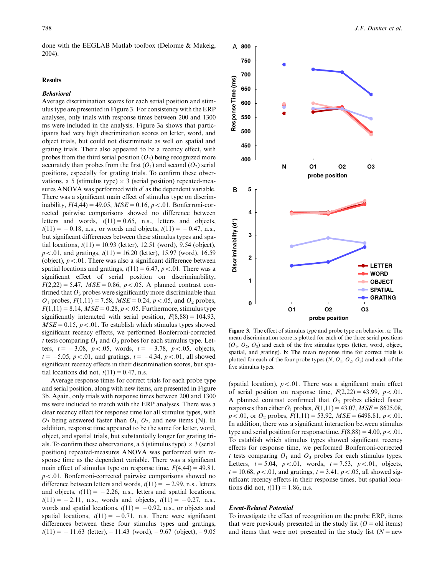done with the EEGLAB Matlab toolbox (Delorme & Makeig, 2004).

#### Results

#### Behavioral

Average discrimination scores for each serial position and stimulus type are presented in Figure 3. For consistency with the ERP analyses, only trials with response times between 200 and 1300 ms were included in the analysis. Figure 3a shows that participants had very high discrimination scores on letter, word, and object trials, but could not discriminate as well on spatial and grating trials. There also appeared to be a recency effect, with probes from the third serial position  $(O_3)$  being recognized more accurately than probes from the first  $(O_1)$  and second  $(O_2)$  serial positions, especially for grating trials. To confirm these observations, a 5 (stimulus type)  $\times$  3 (serial position) repeated-measures ANOVA was performed with  $d'$  as the dependent variable. There was a significant main effect of stimulus type on discriminability,  $F(4,44) = 49.05$ ,  $MSE = 0.16$ ,  $p < .01$ . Bonferroni-corrected pairwise comparisons showed no difference between letters and words,  $t(11) = 0.65$ , n.s., letters and objects,  $t(11) = -0.18$ , n.s., or words and objects,  $t(11) = -0.47$ , n.s., but significant differences between these stimulus types and spatial locations,  $t(11) = 10.93$  (letter), 12.51 (word), 9.54 (object),  $p < .01$ , and gratings,  $t(11) = 16.20$  (letter), 15.97 (word), 16.59 (object),  $p < 01$ . There was also a significant difference between spatial locations and gratings,  $t(11) = 6.47$ ,  $p < .01$ . There was a significant effect of serial position on discriminability,  $F(2,22) = 5.47$ ,  $MSE = 0.86$ ,  $p < .05$ . A planned contrast confirmed that  $O_3$  probes were significantly more discriminable than  $O_1$  probes,  $F(1,11) = 7.58$ ,  $MSE = 0.24$ ,  $p < .05$ , and  $O_2$  probes,  $F(1,11) = 8.14, MSE = 0.28, p < .05. Furthermore, stimulus type$ significantly interacted with serial position,  $F(8,88) = 104.93$ ,  $MSE = 0.15$ ,  $p < 0.01$ . To establish which stimulus types showed significant recency effects, we performed Bonferroni-corrected t tests comparing  $O_1$  and  $O_3$  probes for each stimulus type. Letters,  $t = -3.08$ ,  $p < .05$ , words,  $t = -3.78$ ,  $p < .05$ , objects,  $t = -5.05, p < 0.01$ , and gratings,  $t = -4.34, p < 0.01$ , all showed significant recency effects in their discrimination scores, but spatial locations did not,  $t(11) = 0.47$ , n.s.

Average response times for correct trials for each probe type and serial position, along with new items, are presented in Figure 3b. Again, only trials with response times between 200 and 1300 ms were included to match with the ERP analyses. There was a clear recency effect for response time for all stimulus types, with  $O_3$  being answered faster than  $O_1$ ,  $O_2$ , and new items (N). In addition, response time appeared to be the same for letter, word, object, and spatial trials, but substantially longer for grating trials. To confirm these observations, a 5 (stimulus type)  $\times$  3 (serial position) repeated-measures ANOVA was performed with response time as the dependent variable. There was a significant main effect of stimulus type on response time,  $F(4,44) = 49.81$ ,  $p<.01$ . Bonferroni-corrected pairwise comparisons showed no difference between letters and words,  $t(11) = -2.99$ , n.s., letters and objects,  $t(11) = -2.26$ , n.s., letters and spatial locations,  $t(11) = -2.11$ , n.s., words and objects,  $t(11) = -0.27$ , n.s., words and spatial locations,  $t(11) = -0.92$ , n.s., or objects and spatial locations,  $t(11) = -0.71$ , n.s. There were significant differences between these four stimulus types and gratings,  $t(11) = -11.63$  (letter),  $-11.43$  (word),  $-9.67$  (object),  $-9.05$ 



Figure 3. The effect of stimulus type and probe type on behavior. a: The mean discrimination score is plotted for each of the three serial positions  $(O_1, O_2, O_3)$  and each of the five stimulus types (letter, word, object, spatial, and grating). b: The mean response time for correct trials is plotted for each of the four probe types  $(N, O_1, O_2, O_3)$  and each of the five stimulus types.

(spatial location),  $p < 01$ . There was a significant main effect of serial position on response time,  $F(2,22) = 43.99$ ,  $p < .01$ . A planned contrast confirmed that  $O_3$  probes elicited faster responses than either  $O_1$  probes,  $F(1,11) = 43.07$ ,  $MSE = 8625.08$ ,  $p < .01$ , or  $O_2$  probes,  $F(1,11) = 53.92$ ,  $MSE = 6498.81$ ,  $p < .01$ . In addition, there was a significant interaction between stimulus type and serial position for response time,  $F(8,88) = 4.00, p < 0.01$ . To establish which stimulus types showed significant recency effects for response time, we performed Bonferroni-corrected t tests comparing  $O_1$  and  $O_3$  probes for each stimulus types. Letters,  $t = 5.04$ ,  $p < .01$ , words,  $t = 7.53$ ,  $p < .01$ , objects,  $t = 10.68$ ,  $p < .01$ , and gratings,  $t = 3.41$ ,  $p < .05$ , all showed significant recency effects in their response times, but spatial locations did not,  $t(11) = 1.86$ , n.s.

## Event-Related Potential

To investigate the effect of recognition on the probe ERP, items that were previously presented in the study list  $(O = old$  items) and items that were not presented in the study list ( $N = new$ )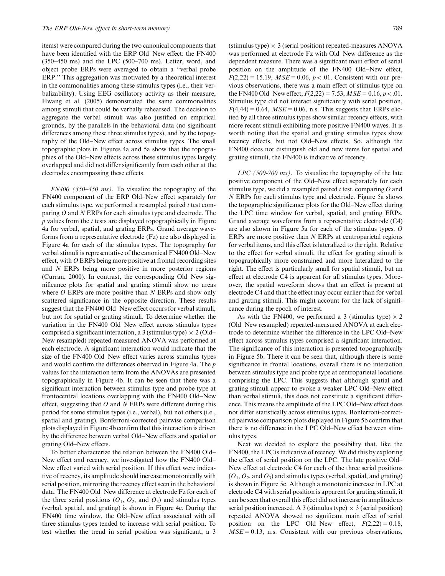items) were compared during the two canonical components that have been identified with the ERP Old–New effect: the FN400 (350–450 ms) and the LPC (500–700 ms). Letter, word, and object probe ERPs were averaged to obtain a ''verbal probe ERP.'' This aggregation was motivated by a theoretical interest in the commonalities among these stimulus types (i.e., their verbalizability). Using EEG oscillatory activity as their measure, Hwang et al. (2005) demonstrated the same commonalities among stimuli that could be verbally rehearsed. The decision to aggregate the verbal stimuli was also justified on empirical grounds, by the parallels in the behavioral data (no significant differences among these three stimulus types), and by the topography of the Old–New effect across stimulus types. The small topographic plots in Figures 4a and 5a show that the topographies of the Old–New effects across these stimulus types largely overlapped and did not differ significantly from each other at the electrodes encompassing these effects.

FN400 (350–450 ms). To visualize the topography of the FN400 component of the ERP Old–New effect separately for each stimulus type, we performed a resampled paired t test comparing  $O$  and  $N$  ERPs for each stimulus type and electrode. The  $p$  values from the  $t$  tests are displayed topographically in Figure 4a for verbal, spatial, and grating ERPs. Grand average waveforms from a representative electrode (Fz) are also displayed in Figure 4a for each of the stimulus types. The topography for verbal stimuli is representative of the canonical FN400 Old–New effect, with O ERPs being more positive at frontal recording sites and N ERPs being more positive in more posterior regions (Curran, 2000). In contrast, the corresponding Old–New significance plots for spatial and grating stimuli show no areas where  $O$  ERPs are more positive than  $N$  ERPs and show only scattered significance in the opposite direction. These results suggest that the FN400 Old–New effect occurs for verbal stimuli, but not for spatial or grating stimuli. To determine whether the variation in the FN400 Old–New effect across stimulus types comprised a significant interaction, a 3 (stimulus type)  $\times$  2 (Old– New resampled) repeated-measured ANOVA was performed at each electrode. A significant interaction would indicate that the size of the FN400 Old–New effect varies across stimulus types and would confirm the differences observed in Figure 4a. The p values for the interaction term from the ANOVAs are presented topographically in Figure 4b. It can be seen that there was a significant interaction between stimulus type and probe type at frontocentral locations overlapping with the FN400 Old–New effect, suggesting that  $O$  and  $N$  ERPs were different during this period for some stimulus types (i.e., verbal), but not others (i.e., spatial and grating). Bonferroni-corrected pairwise comparison plots displayed in Figure 4b confirm that this interaction is driven by the difference between verbal Old–New effects and spatial or grating Old–New effects.

To better characterize the relation between the FN400 Old– New effect and recency, we investigated how the FN400 Old– New effect varied with serial position. If this effect were indicative of recency, its amplitude should increase monotonically with serial position, mirroring the recency effect seen in the behavioral data. The FN400 Old–New difference at electrode Fz for each of the three serial positions  $(O_1, O_2, \text{ and } O_3)$  and stimulus types (verbal, spatial, and grating) is shown in Figure 4c. During the FN400 time window, the Old–New effect associated with all three stimulus types tended to increase with serial position. To test whether the trend in serial position was significant, a 3

(stimulus type)  $\times$  3 (serial position) repeated-measures ANOVA was performed at electrode Fz with Old–New difference as the dependent measure. There was a significant main effect of serial position on the amplitude of the FN400 Old–New effect,  $F(2,22) = 15.19$ ,  $MSE = 0.06$ ,  $p < .01$ . Consistent with our previous observations, there was a main effect of stimulus type on the FN400 Old–New effect,  $F(2,22) = 7.53$ ,  $MSE = 0.16$ ,  $p < .01$ . Stimulus type did not interact significantly with serial position,  $F(4,44) = 0.64$ ,  $MSE = 0.06$ , n.s. This suggests that ERPs elicited by all three stimulus types show similar recency effects, with more recent stimuli exhibiting more positive FN400 waves. It is worth noting that the spatial and grating stimulus types show recency effects, but not Old–New effects. So, although the FN400 does not distinguish old and new items for spatial and grating stimuli, the FN400 is indicative of recency.

 $LPC$  (500-700 ms). To visualize the topography of the late positive component of the Old–New effect separately for each stimulus type, we did a resampled paired  $t$  test, comparing  $O$  and N ERPs for each stimulus type and electrode. Figure 5a shows the topographic significance plots for the Old–New effect during the LPC time window for verbal, spatial, and grating ERPs. Grand average waveforms from a representative electrode (C4) are also shown in Figure 5a for each of the stimulus types. O ERPs are more positive than N ERPs at centroparietal regions for verbal items, and this effect is lateralized to the right. Relative to the effect for verbal stimuli, the effect for grating stimuli is topographically more constrained and more lateralized to the right. The effect is particularly small for spatial stimuli, but an effect at electrode C4 is apparent for all stimulus types. Moreover, the spatial waveform shows that an effect is present at electrode C4 and that the effect may occur earlier than for verbal and grating stimuli. This might account for the lack of significance during the epoch of interest.

As with the FN400, we performed a 3 (stimulus type)  $\times$  2 (Old–New resampled) repeated-measured ANOVA at each electrode to determine whether the difference in the LPC Old–New effect across stimulus types comprised a significant interaction. The significance of this interaction is presented topographically in Figure 5b. There it can be seen that, although there is some significance in frontal locations, overall there is no interaction between stimulus type and probe type at centroparietal locations comprising the LPC. This suggests that although spatial and grating stimuli appear to evoke a weaker LPC Old–New effect than verbal stimuli, this does not constitute a significant difference. This means the amplitude of the LPC Old–New effect does not differ statistically across stimulus types. Bonferroni-corrected pairwise comparison plots displayed in Figure 5b confirm that there is no difference in the LPC Old–New effect between stimulus types.

Next we decided to explore the possibility that, like the FN400, the LPC is indicative of recency. We did this by exploring the effect of serial position on the LPC. The late positive Old– New effect at electrode C4 for each of the three serial positions  $(O_1, O_2, \text{ and } O_3)$  and stimulus types (verbal, spatial, and grating) is shown in Figure 5c. Although a monotonic increase in LPC at electrode C4 with serial position is apparent for grating stimuli, it can be seen that overall this effect did not increase in amplitude as serial position increased. A 3 (stimulus type)  $\times$  3 (serial position) repeated ANOVA showed no significant main effect of serial position on the LPC Old–New effect,  $F(2,22) = 0.18$ ,  $MSE = 0.13$ , n.s. Consistent with our previous observations,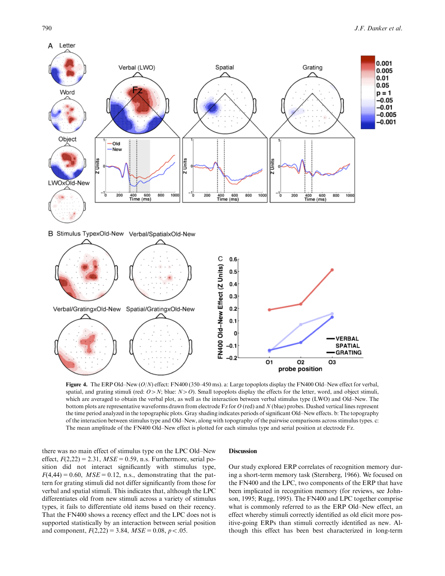

Figure 4. The ERP Old–New  $(O/N)$  effect: FN400 (350–450 ms). a: Large topoplots display the FN400 Old–New effect for verbal, spatial, and grating stimuli (red:  $O > N$ ; blue:  $N > O$ ). Small topoplots display the effects for the letter, word, and object stimuli, which are averaged to obtain the verbal plot, as well as the interaction between verbal stimulus type (LWO) and Old–New. The bottom plots are representative waveforms drawn from electrode Fz for O (red) and N (blue) probes. Dashed vertical lines represent the time period analyzed in the topographic plots. Gray shading indicates periods of significant Old–New effects. b: The topography of the interaction between stimulus type and Old–New, along with topography of the pairwise comparisons across stimulus types. c: The mean amplitude of the FN400 Old–New effect is plotted for each stimulus type and serial position at electrode Fz.

there was no main effect of stimulus type on the LPC Old–New effect,  $F(2,22) = 2.31$ ,  $MSE = 0.59$ , n.s. Furthermore, serial position did not interact significantly with stimulus type,  $F(4,44) = 0.60$ ,  $MSE = 0.12$ , n.s., demonstrating that the pattern for grating stimuli did not differ significantly from those for verbal and spatial stimuli. This indicates that, although the LPC differentiates old from new stimuli across a variety of stimulus types, it fails to differentiate old items based on their recency. That the FN400 shows a recency effect and the LPC does not is supported statistically by an interaction between serial position and component,  $F(2,22) = 3.84$ ,  $MSE = 0.08$ ,  $p < .05$ .

## **Discussion**

Our study explored ERP correlates of recognition memory during a short-term memory task (Sternberg, 1966). We focused on the FN400 and the LPC, two components of the ERP that have been implicated in recognition memory (for reviews, see Johnson, 1995; Rugg, 1995). The FN400 and LPC together comprise what is commonly referred to as the ERP Old–New effect, an effect whereby stimuli correctly identified as old elicit more positive-going ERPs than stimuli correctly identified as new. Although this effect has been best characterized in long-term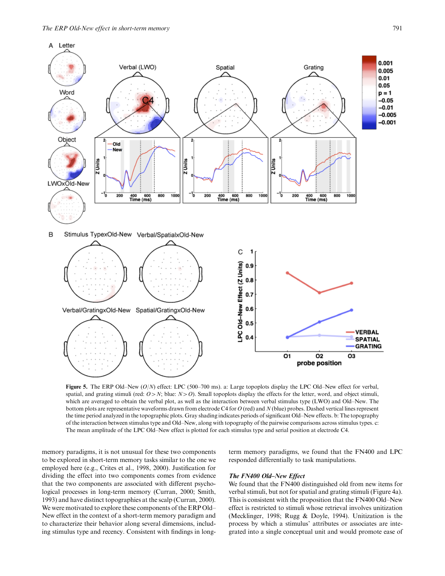

Figure 5. The ERP Old–New  $(O/N)$  effect: LPC (500–700 ms). a: Large topoplots display the LPC Old–New effect for verbal, spatial, and grating stimuli (red:  $O>N$ ; blue:  $N>O$ ). Small topoplots display the effects for the letter, word, and object stimuli, which are averaged to obtain the verbal plot, as well as the interaction between verbal stimulus type (LWO) and Old–New. The bottom plots are representative waveforms drawn from electrode C4 for O (red) and N (blue) probes. Dashed vertical lines represent the time period analyzed in the topographic plots. Gray shading indicates periods of significant Old–New effects. b: The topography of the interaction between stimulus type and Old–New, along with topography of the pairwise comparisons across stimulus types. c: The mean amplitude of the LPC Old–New effect is plotted for each stimulus type and serial position at electrode C4.

memory paradigms, it is not unusual for these two components to be explored in short-term memory tasks similar to the one we employed here (e.g., Crites et al., 1998, 2000). Justification for dividing the effect into two components comes from evidence that the two components are associated with different psychological processes in long-term memory (Curran, 2000; Smith, 1993) and have distinct topographies at the scalp (Curran, 2000). We were motivated to explore these components of the ERP Old– New effect in the context of a short-term memory paradigm and to characterize their behavior along several dimensions, including stimulus type and recency. Consistent with findings in longterm memory paradigms, we found that the FN400 and LPC responded differentially to task manipulations.

# The FN400 Old–New Effect

We found that the FN400 distinguished old from new items for verbal stimuli, but not for spatial and grating stimuli (Figure 4a). This is consistent with the proposition that the FN400 Old–New effect is restricted to stimuli whose retrieval involves unitization (Mecklinger, 1998; Rugg & Doyle, 1994). Unitization is the process by which a stimulus' attributes or associates are integrated into a single conceptual unit and would promote ease of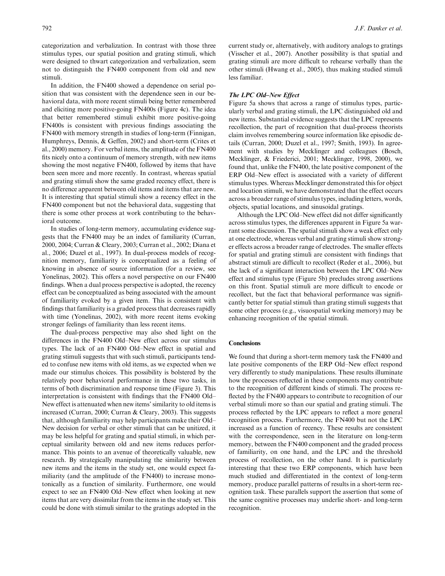categorization and verbalization. In contrast with those three stimulus types, our spatial position and grating stimuli, which were designed to thwart categorization and verbalization, seem not to distinguish the FN400 component from old and new stimuli.

In addition, the FN400 showed a dependence on serial position that was consistent with the dependence seen in our behavioral data, with more recent stimuli being better remembered and eliciting more positive-going FN400s (Figure 4c). The idea that better remembered stimuli exhibit more positive-going FN400s is consistent with previous findings associating the FN400 with memory strength in studies of long-term (Finnigan, Humphreys, Dennis, & Geffen, 2002) and short-term (Crites et al., 2000) memory. For verbal items, the amplitude of the FN400 fits nicely onto a continuum of memory strength, with new items showing the most negative FN400, followed by items that have been seen more and more recently. In contrast, whereas spatial and grating stimuli show the same graded recency effect, there is no difference apparent between old items and items that are new. It is interesting that spatial stimuli show a recency effect in the FN400 component but not the behavioral data, suggesting that there is some other process at work contributing to the behavioral outcome.

In studies of long-term memory, accumulating evidence suggests that the FN400 may be an index of familiarity (Curran, 2000, 2004; Curran & Cleary, 2003; Curran et al., 2002; Diana et al., 2006; Duzel et al., 1997). In dual-process models of recognition memory, familiarity is conceptualized as a feeling of knowing in absence of source information (for a review, see Yonelinas, 2002). This offers a novel perspective on our FN400 findings. When a dual process perspective is adopted, the recency effect can be conceptualized as being associated with the amount of familiarity evoked by a given item. This is consistent with findings that familiarity is a graded process that decreases rapidly with time (Yonelinas, 2002), with more recent items evoking stronger feelings of familiarity than less recent items.

The dual-process perspective may also shed light on the differences in the FN400 Old–New effect across our stimulus types. The lack of an FN400 Old–New effect in spatial and grating stimuli suggests that with such stimuli, participants tended to confuse new items with old items, as we expected when we made our stimulus choices. This possibility is bolstered by the relatively poor behavioral performance in these two tasks, in terms of both discrimination and response time (Figure 3). This interpretation is consistent with findings that the FN400 Old– New effect is attenuated when new items' similarity to old items is increased (Curran, 2000; Curran & Cleary, 2003). This suggests that, although familiarity may help participants make their Old– New decision for verbal or other stimuli that can be unitized, it may be less helpful for grating and spatial stimuli, in which perceptual similarity between old and new items reduces performance. This points to an avenue of theoretically valuable, new research. By strategically manipulating the similarity between new items and the items in the study set, one would expect familiarity (and the amplitude of the FN400) to increase monotonically as a function of similarity. Furthermore, one would expect to see an FN400 Old–New effect when looking at new items that are very dissimilar from the items in the study set. This could be done with stimuli similar to the gratings adopted in the current study or, alternatively, with auditory analogs to gratings (Visscher et al., 2007). Another possibility is that spatial and grating stimuli are more difficult to rehearse verbally than the other stimuli (Hwang et al., 2005), thus making studied stimuli less familiar.

## The LPC Old–New Effect

Figure 5a shows that across a range of stimulus types, particularly verbal and grating stimuli, the LPC distinguished old and new items. Substantial evidence suggests that the LPC represents recollection, the part of recognition that dual-process theorists claim involves remembering source information like episodic details (Curran, 2000; Duzel et al., 1997; Smith, 1993). In agreement with studies by Mecklinger and colleagues (Bosch, Mecklinger, & Friederici, 2001; Mecklinger, 1998, 2000), we found that, unlike the FN400, the late positive component of the ERP Old–New effect is associated with a variety of different stimulus types. Whereas Mecklinger demonstrated this for object and location stimuli, we have demonstrated that the effect occurs across a broader range of stimulus types, including letters, words, objects, spatial locations, and sinusoidal gratings.

Although the LPC Old–New effect did not differ significantly across stimulus types, the differences apparent in Figure 5a warrant some discussion. The spatial stimuli show a weak effect only at one electrode, whereas verbal and grating stimuli show stronger effects across a broader range of electrodes. The smaller effects for spatial and grating stimuli are consistent with findings that abstract stimuli are difficult to recollect (Reder et al., 2006), but the lack of a significant interaction between the LPC Old–New effect and stimulus type (Figure 5b) precludes strong assertions on this front. Spatial stimuli are more difficult to encode or recollect, but the fact that behavioral performance was significantly better for spatial stimuli than grating stimuli suggests that some other process (e.g., visuospatial working memory) may be enhancing recognition of the spatial stimuli.

## **Conclusions**

We found that during a short-term memory task the FN400 and late positive components of the ERP Old–New effect respond very differently to study manipulations. These results illuminate how the processes reflected in these components may contribute to the recognition of different kinds of stimuli. The process reflected by the FN400 appears to contribute to recognition of our verbal stimuli more so than our spatial and grating stimuli. The process reflected by the LPC appears to reflect a more general recognition process. Furthermore, the FN400 but not the LPC increased as a function of recency. These results are consistent with the correspondence, seen in the literature on long-term memory, between the FN400 component and the graded process of familiarity, on one hand, and the LPC and the threshold process of recollection, on the other hand. It is particularly interesting that these two ERP components, which have been much studied and differentiated in the context of long-term memory, produce parallel patterns of results in a short-term recognition task. These parallels support the assertion that some of the same cognitive processes may underlie short- and long-term recognition.